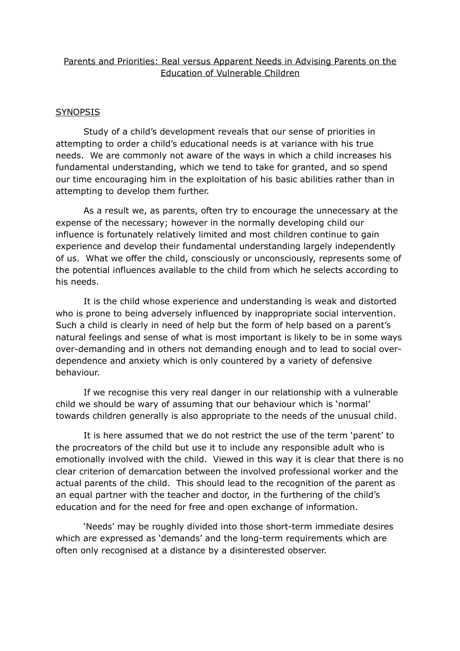# Parents and Priorities: Real versus Apparent Needs in Advising Parents on the Education of Vulnerable Children

### **SYNOPSIS**

Study of a child's development reveals that our sense of priorities in attempting to order a child's educational needs is at variance with his true needs. We are commonly not aware of the ways in which a child increases his fundamental understanding, which we tend to take for granted, and so spend our time encouraging him in the exploitation of his basic abilities rather than in attempting to develop them further.

As a result we, as parents, often try to encourage the unnecessary at the expense of the necessary; however in the normally developing child our influence is fortunately relatively limited and most children continue to gain experience and develop their fundamental understanding largely independently of us. What we offer the child, consciously or unconsciously, represents some of the potential influences available to the child from which he selects according to his needs.

It is the child whose experience and understanding is weak and distorted who is prone to being adversely influenced by inappropriate social intervention. Such a child is clearly in need of help but the form of help based on a parent's natural feelings and sense of what is most important is likely to be in some ways over-demanding and in others not demanding enough and to lead to social overdependence and anxiety which is only countered by a variety of defensive behaviour.

If we recognise this very real danger in our relationship with a vulnerable child we should be wary of assuming that our behaviour which is 'normal' towards children generally is also appropriate to the needs of the unusual child.

It is here assumed that we do not restrict the use of the term 'parent' to the procreators of the child but use it to include any responsible adult who is emotionally involved with the child. Viewed in this way it is clear that there is no clear criterion of demarcation between the involved professional worker and the actual parents of the child. This should lead to the recognition of the parent as an equal partner with the teacher and doctor, in the furthering of the child's education and for the need for free and open exchange of information.

'Needs' may be roughly divided into those short-term immediate desires which are expressed as 'demands' and the long-term requirements which are often only recognised at a distance by a disinterested observer.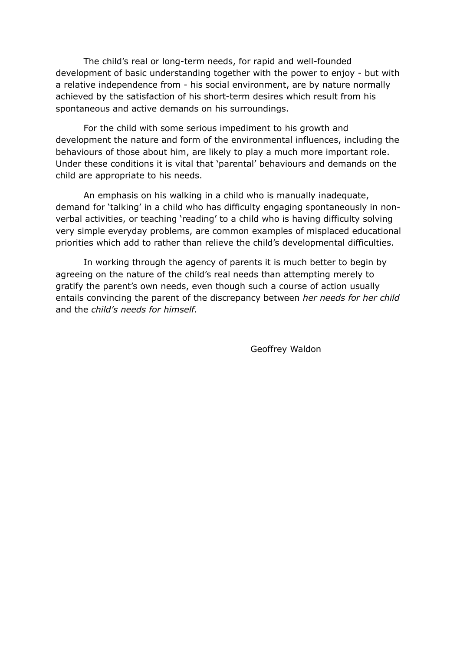The child's real or long-term needs, for rapid and well-founded development of basic understanding together with the power to enjoy - but with a relative independence from - his social environment, are by nature normally achieved by the satisfaction of his short-term desires which result from his spontaneous and active demands on his surroundings.

For the child with some serious impediment to his growth and development the nature and form of the environmental influences, including the behaviours of those about him, are likely to play a much more important role. Under these conditions it is vital that 'parental' behaviours and demands on the child are appropriate to his needs.

An emphasis on his walking in a child who is manually inadequate, demand for 'talking' in a child who has difficulty engaging spontaneously in nonverbal activities, or teaching 'reading' to a child who is having difficulty solving very simple everyday problems, are common examples of misplaced educational priorities which add to rather than relieve the child's developmental difficulties.

In working through the agency of parents it is much better to begin by agreeing on the nature of the child's real needs than attempting merely to gratify the parent's own needs, even though such a course of action usually entails convincing the parent of the discrepancy between *her needs for her child* and the *child's needs for himself.*

Geoffrey Waldon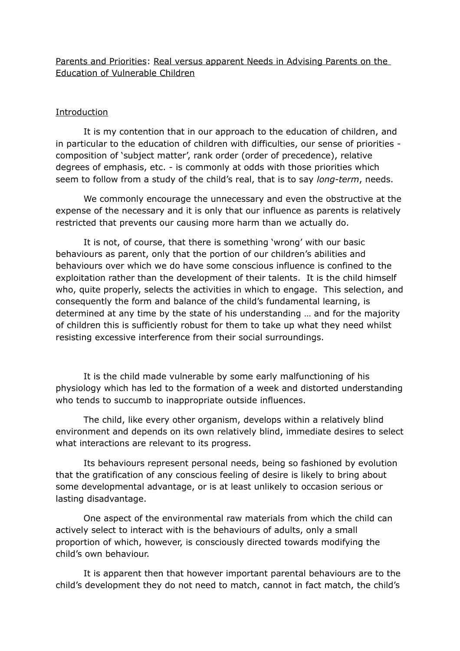# Parents and Priorities: Real versus apparent Needs in Advising Parents on the Education of Vulnerable Children

### Introduction

It is my contention that in our approach to the education of children, and in particular to the education of children with difficulties, our sense of priorities composition of 'subject matter', rank order (order of precedence), relative degrees of emphasis, etc. - is commonly at odds with those priorities which seem to follow from a study of the child's real, that is to say *long-term*, needs.

We commonly encourage the unnecessary and even the obstructive at the expense of the necessary and it is only that our influence as parents is relatively restricted that prevents our causing more harm than we actually do.

It is not, of course, that there is something 'wrong' with our basic behaviours as parent, only that the portion of our children's abilities and behaviours over which we do have some conscious influence is confined to the exploitation rather than the development of their talents. It is the child himself who, quite properly, selects the activities in which to engage. This selection, and consequently the form and balance of the child's fundamental learning, is determined at any time by the state of his understanding … and for the majority of children this is sufficiently robust for them to take up what they need whilst resisting excessive interference from their social surroundings.

It is the child made vulnerable by some early malfunctioning of his physiology which has led to the formation of a week and distorted understanding who tends to succumb to inappropriate outside influences.

The child, like every other organism, develops within a relatively blind environment and depends on its own relatively blind, immediate desires to select what interactions are relevant to its progress.

Its behaviours represent personal needs, being so fashioned by evolution that the gratification of any conscious feeling of desire is likely to bring about some developmental advantage, or is at least unlikely to occasion serious or lasting disadvantage.

One aspect of the environmental raw materials from which the child can actively select to interact with is the behaviours of adults, only a small proportion of which, however, is consciously directed towards modifying the child's own behaviour.

It is apparent then that however important parental behaviours are to the child's development they do not need to match, cannot in fact match, the child's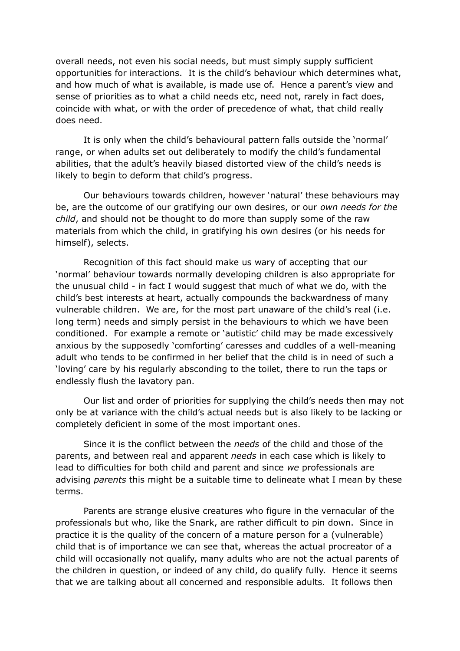overall needs, not even his social needs, but must simply supply sufficient opportunities for interactions. It is the child's behaviour which determines what, and how much of what is available, is made use of. Hence a parent's view and sense of priorities as to what a child needs etc, need not, rarely in fact does, coincide with what, or with the order of precedence of what, that child really does need.

It is only when the child's behavioural pattern falls outside the 'normal' range, or when adults set out deliberately to modify the child's fundamental abilities, that the adult's heavily biased distorted view of the child's needs is likely to begin to deform that child's progress.

Our behaviours towards children, however 'natural' these behaviours may be, are the outcome of our gratifying our own desires, or our *own needs for the child*, and should not be thought to do more than supply some of the raw materials from which the child, in gratifying his own desires (or his needs for himself), selects.

Recognition of this fact should make us wary of accepting that our 'normal' behaviour towards normally developing children is also appropriate for the unusual child - in fact I would suggest that much of what we do, with the child's best interests at heart, actually compounds the backwardness of many vulnerable children. We are, for the most part unaware of the child's real (i.e. long term) needs and simply persist in the behaviours to which we have been conditioned. For example a remote or 'autistic' child may be made excessively anxious by the supposedly 'comforting' caresses and cuddles of a well-meaning adult who tends to be confirmed in her belief that the child is in need of such a 'loving' care by his regularly absconding to the toilet, there to run the taps or endlessly flush the lavatory pan.

Our list and order of priorities for supplying the child's needs then may not only be at variance with the child's actual needs but is also likely to be lacking or completely deficient in some of the most important ones.

Since it is the conflict between the *needs* of the child and those of the parents, and between real and apparent *needs* in each case which is likely to lead to difficulties for both child and parent and since *we* professionals are advising *parents* this might be a suitable time to delineate what I mean by these terms.

Parents are strange elusive creatures who figure in the vernacular of the professionals but who, like the Snark, are rather difficult to pin down. Since in practice it is the quality of the concern of a mature person for a (vulnerable) child that is of importance we can see that, whereas the actual procreator of a child will occasionally not qualify, many adults who are not the actual parents of the children in question, or indeed of any child, do qualify fully. Hence it seems that we are talking about all concerned and responsible adults. It follows then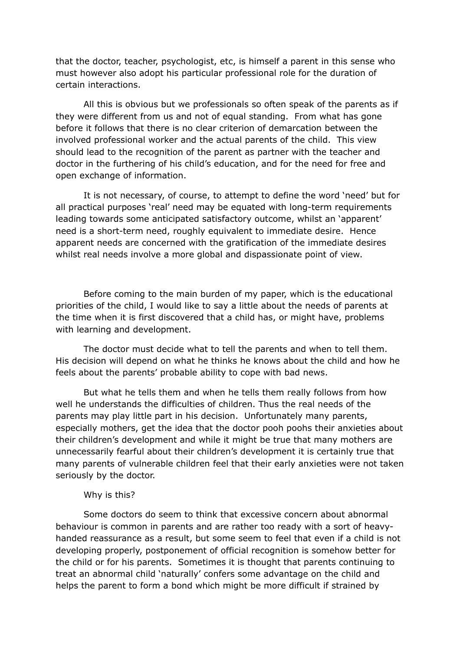that the doctor, teacher, psychologist, etc, is himself a parent in this sense who must however also adopt his particular professional role for the duration of certain interactions.

All this is obvious but we professionals so often speak of the parents as if they were different from us and not of equal standing. From what has gone before it follows that there is no clear criterion of demarcation between the involved professional worker and the actual parents of the child. This view should lead to the recognition of the parent as partner with the teacher and doctor in the furthering of his child's education, and for the need for free and open exchange of information.

It is not necessary, of course, to attempt to define the word 'need' but for all practical purposes 'real' need may be equated with long-term requirements leading towards some anticipated satisfactory outcome, whilst an 'apparent' need is a short-term need, roughly equivalent to immediate desire. Hence apparent needs are concerned with the gratification of the immediate desires whilst real needs involve a more global and dispassionate point of view.

Before coming to the main burden of my paper, which is the educational priorities of the child, I would like to say a little about the needs of parents at the time when it is first discovered that a child has, or might have, problems with learning and development.

The doctor must decide what to tell the parents and when to tell them. His decision will depend on what he thinks he knows about the child and how he feels about the parents' probable ability to cope with bad news.

But what he tells them and when he tells them really follows from how well he understands the difficulties of children. Thus the real needs of the parents may play little part in his decision. Unfortunately many parents, especially mothers, get the idea that the doctor pooh poohs their anxieties about their children's development and while it might be true that many mothers are unnecessarily fearful about their children's development it is certainly true that many parents of vulnerable children feel that their early anxieties were not taken seriously by the doctor.

#### Why is this?

Some doctors do seem to think that excessive concern about abnormal behaviour is common in parents and are rather too ready with a sort of heavyhanded reassurance as a result, but some seem to feel that even if a child is not developing properly, postponement of official recognition is somehow better for the child or for his parents. Sometimes it is thought that parents continuing to treat an abnormal child 'naturally' confers some advantage on the child and helps the parent to form a bond which might be more difficult if strained by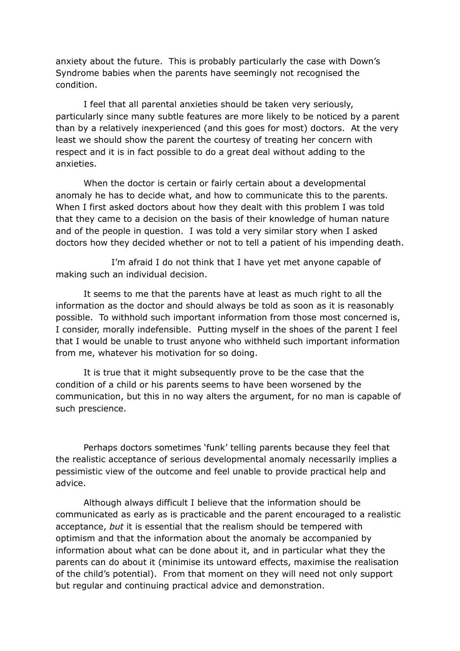anxiety about the future. This is probably particularly the case with Down's Syndrome babies when the parents have seemingly not recognised the condition.

I feel that all parental anxieties should be taken very seriously, particularly since many subtle features are more likely to be noticed by a parent than by a relatively inexperienced (and this goes for most) doctors. At the very least we should show the parent the courtesy of treating her concern with respect and it is in fact possible to do a great deal without adding to the anxieties.

When the doctor is certain or fairly certain about a developmental anomaly he has to decide what, and how to communicate this to the parents. When I first asked doctors about how they dealt with this problem I was told that they came to a decision on the basis of their knowledge of human nature and of the people in question. I was told a very similar story when I asked doctors how they decided whether or not to tell a patient of his impending death.

I'm afraid I do not think that I have yet met anyone capable of making such an individual decision.

It seems to me that the parents have at least as much right to all the information as the doctor and should always be told as soon as it is reasonably possible. To withhold such important information from those most concerned is, I consider, morally indefensible. Putting myself in the shoes of the parent I feel that I would be unable to trust anyone who withheld such important information from me, whatever his motivation for so doing.

It is true that it might subsequently prove to be the case that the condition of a child or his parents seems to have been worsened by the communication, but this in no way alters the argument, for no man is capable of such prescience.

Perhaps doctors sometimes 'funk' telling parents because they feel that the realistic acceptance of serious developmental anomaly necessarily implies a pessimistic view of the outcome and feel unable to provide practical help and advice.

Although always difficult I believe that the information should be communicated as early as is practicable and the parent encouraged to a realistic acceptance, *but* it is essential that the realism should be tempered with optimism and that the information about the anomaly be accompanied by information about what can be done about it, and in particular what they the parents can do about it (minimise its untoward effects, maximise the realisation of the child's potential). From that moment on they will need not only support but regular and continuing practical advice and demonstration.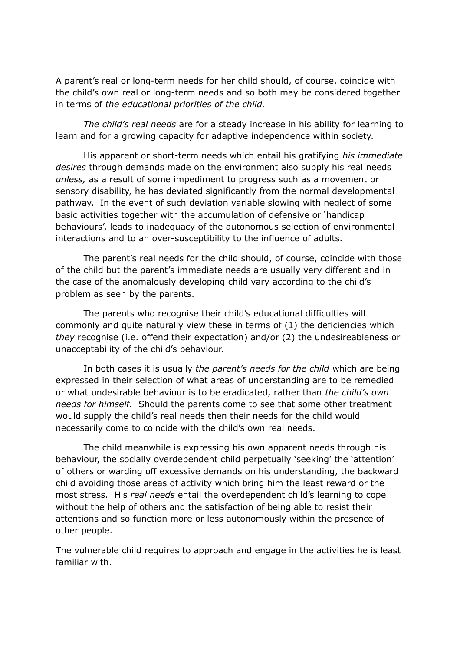A parent's real or long-term needs for her child should, of course, coincide with the child's own real or long-term needs and so both may be considered together in terms of *the educational priorities of the child.*

*The child's real needs* are for a steady increase in his ability for learning to learn and for a growing capacity for adaptive independence within society.

His apparent or short-term needs which entail his gratifying *his immediate desires* through demands made on the environment also supply his real needs *unless,* as a result of some impediment to progress such as a movement or sensory disability, he has deviated significantly from the normal developmental pathway. In the event of such deviation variable slowing with neglect of some basic activities together with the accumulation of defensive or 'handicap behaviours', leads to inadequacy of the autonomous selection of environmental interactions and to an over-susceptibility to the influence of adults.

The parent's real needs for the child should, of course, coincide with those of the child but the parent's immediate needs are usually very different and in the case of the anomalously developing child vary according to the child's problem as seen by the parents.

The parents who recognise their child's educational difficulties will commonly and quite naturally view these in terms of (1) the deficiencies which *they* recognise (i.e. offend their expectation) and/or (2) the undesireableness or unacceptability of the child's behaviour.

In both cases it is usually *the parent's needs for the child* which are being expressed in their selection of what areas of understanding are to be remedied or what undesirable behaviour is to be eradicated, rather than *the child's own needs for himself.* Should the parents come to see that some other treatment would supply the child's real needs then their needs for the child would necessarily come to coincide with the child's own real needs.

The child meanwhile is expressing his own apparent needs through his behaviour, the socially overdependent child perpetually 'seeking' the 'attention' of others or warding off excessive demands on his understanding, the backward child avoiding those areas of activity which bring him the least reward or the most stress. His *real needs* entail the overdependent child's learning to cope without the help of others and the satisfaction of being able to resist their attentions and so function more or less autonomously within the presence of other people.

The vulnerable child requires to approach and engage in the activities he is least familiar with.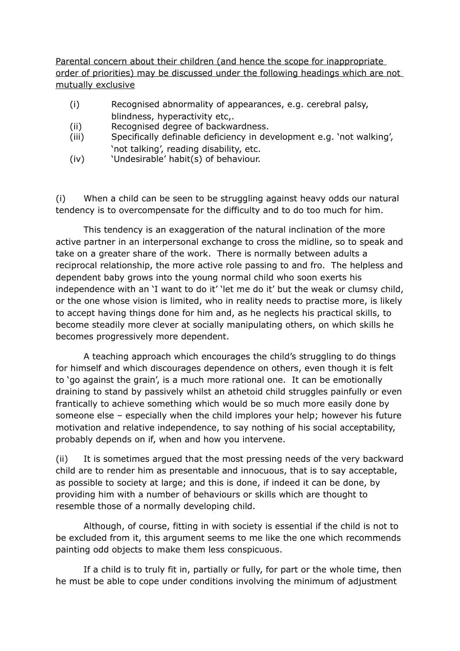Parental concern about their children (and hence the scope for inappropriate order of priorities) may be discussed under the following headings which are not mutually exclusive

- (i) Recognised abnormality of appearances, e.g. cerebral palsy, blindness, hyperactivity etc,.
- (ii) Recognised degree of backwardness.
- (iii) Specifically definable deficiency in development e.g. 'not walking', 'not talking', reading disability, etc.
- (iv) 'Undesirable' habit(s) of behaviour.

(i) When a child can be seen to be struggling against heavy odds our natural tendency is to overcompensate for the difficulty and to do too much for him.

This tendency is an exaggeration of the natural inclination of the more active partner in an interpersonal exchange to cross the midline, so to speak and take on a greater share of the work. There is normally between adults a reciprocal relationship, the more active role passing to and fro. The helpless and dependent baby grows into the young normal child who soon exerts his independence with an 'I want to do it' 'let me do it' but the weak or clumsy child, or the one whose vision is limited, who in reality needs to practise more, is likely to accept having things done for him and, as he neglects his practical skills, to become steadily more clever at socially manipulating others, on which skills he becomes progressively more dependent.

A teaching approach which encourages the child's struggling to do things for himself and which discourages dependence on others, even though it is felt to 'go against the grain', is a much more rational one. It can be emotionally draining to stand by passively whilst an athetoid child struggles painfully or even frantically to achieve something which would be so much more easily done by someone else – especially when the child implores your help; however his future motivation and relative independence, to say nothing of his social acceptability, probably depends on if, when and how you intervene.

(ii) It is sometimes argued that the most pressing needs of the very backward child are to render him as presentable and innocuous, that is to say acceptable, as possible to society at large; and this is done, if indeed it can be done, by providing him with a number of behaviours or skills which are thought to resemble those of a normally developing child.

Although, of course, fitting in with society is essential if the child is not to be excluded from it, this argument seems to me like the one which recommends painting odd objects to make them less conspicuous.

If a child is to truly fit in, partially or fully, for part or the whole time, then he must be able to cope under conditions involving the minimum of adjustment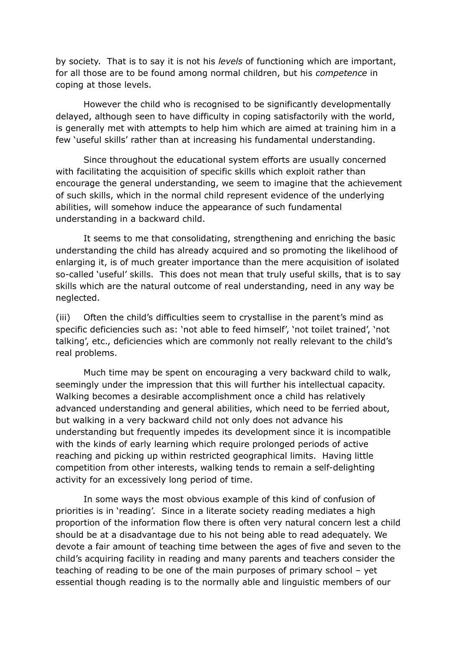by society. That is to say it is not his *levels* of functioning which are important, for all those are to be found among normal children, but his *competence* in coping at those levels.

However the child who is recognised to be significantly developmentally delayed, although seen to have difficulty in coping satisfactorily with the world, is generally met with attempts to help him which are aimed at training him in a few 'useful skills' rather than at increasing his fundamental understanding.

Since throughout the educational system efforts are usually concerned with facilitating the acquisition of specific skills which exploit rather than encourage the general understanding, we seem to imagine that the achievement of such skills, which in the normal child represent evidence of the underlying abilities, will somehow induce the appearance of such fundamental understanding in a backward child.

It seems to me that consolidating, strengthening and enriching the basic understanding the child has already acquired and so promoting the likelihood of enlarging it, is of much greater importance than the mere acquisition of isolated so-called 'useful' skills. This does not mean that truly useful skills, that is to say skills which are the natural outcome of real understanding, need in any way be neglected.

(iii) Often the child's difficulties seem to crystallise in the parent's mind as specific deficiencies such as: 'not able to feed himself', 'not toilet trained', 'not talking', etc., deficiencies which are commonly not really relevant to the child's real problems.

Much time may be spent on encouraging a very backward child to walk, seemingly under the impression that this will further his intellectual capacity. Walking becomes a desirable accomplishment once a child has relatively advanced understanding and general abilities, which need to be ferried about, but walking in a very backward child not only does not advance his understanding but frequently impedes its development since it is incompatible with the kinds of early learning which require prolonged periods of active reaching and picking up within restricted geographical limits. Having little competition from other interests, walking tends to remain a self-delighting activity for an excessively long period of time.

In some ways the most obvious example of this kind of confusion of priorities is in 'reading'. Since in a literate society reading mediates a high proportion of the information flow there is often very natural concern lest a child should be at a disadvantage due to his not being able to read adequately. We devote a fair amount of teaching time between the ages of five and seven to the child's acquiring facility in reading and many parents and teachers consider the teaching of reading to be one of the main purposes of primary school – yet essential though reading is to the normally able and linguistic members of our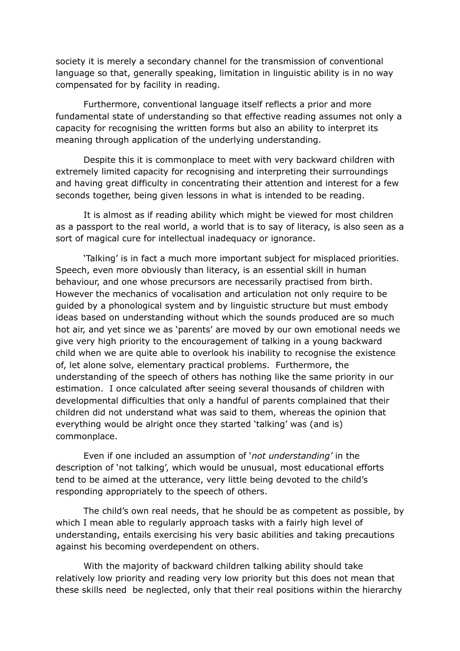society it is merely a secondary channel for the transmission of conventional language so that, generally speaking, limitation in linguistic ability is in no way compensated for by facility in reading.

Furthermore, conventional language itself reflects a prior and more fundamental state of understanding so that effective reading assumes not only a capacity for recognising the written forms but also an ability to interpret its meaning through application of the underlying understanding.

Despite this it is commonplace to meet with very backward children with extremely limited capacity for recognising and interpreting their surroundings and having great difficulty in concentrating their attention and interest for a few seconds together, being given lessons in what is intended to be reading.

It is almost as if reading ability which might be viewed for most children as a passport to the real world, a world that is to say of literacy, is also seen as a sort of magical cure for intellectual inadequacy or ignorance.

'Talking' is in fact a much more important subject for misplaced priorities. Speech, even more obviously than literacy, is an essential skill in human behaviour, and one whose precursors are necessarily practised from birth. However the mechanics of vocalisation and articulation not only require to be guided by a phonological system and by linguistic structure but must embody ideas based on understanding without which the sounds produced are so much hot air, and yet since we as 'parents' are moved by our own emotional needs we give very high priority to the encouragement of talking in a young backward child when we are quite able to overlook his inability to recognise the existence of, let alone solve, elementary practical problems. Furthermore, the understanding of the speech of others has nothing like the same priority in our estimation. I once calculated after seeing several thousands of children with developmental difficulties that only a handful of parents complained that their children did not understand what was said to them, whereas the opinion that everything would be alright once they started 'talking' was (and is) commonplace.

Even if one included an assumption of '*not understanding'* in the description of 'not talking', which would be unusual, most educational efforts tend to be aimed at the utterance, very little being devoted to the child's responding appropriately to the speech of others.

The child's own real needs, that he should be as competent as possible, by which I mean able to regularly approach tasks with a fairly high level of understanding, entails exercising his very basic abilities and taking precautions against his becoming overdependent on others.

With the majority of backward children talking ability should take relatively low priority and reading very low priority but this does not mean that these skills need be neglected, only that their real positions within the hierarchy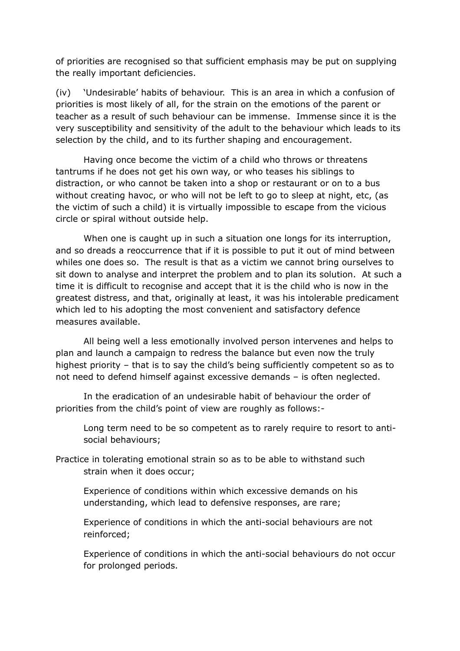of priorities are recognised so that sufficient emphasis may be put on supplying the really important deficiencies.

(iv) 'Undesirable' habits of behaviour. This is an area in which a confusion of priorities is most likely of all, for the strain on the emotions of the parent or teacher as a result of such behaviour can be immense. Immense since it is the very susceptibility and sensitivity of the adult to the behaviour which leads to its selection by the child, and to its further shaping and encouragement.

Having once become the victim of a child who throws or threatens tantrums if he does not get his own way, or who teases his siblings to distraction, or who cannot be taken into a shop or restaurant or on to a bus without creating havoc, or who will not be left to go to sleep at night, etc, (as the victim of such a child) it is virtually impossible to escape from the vicious circle or spiral without outside help.

When one is caught up in such a situation one longs for its interruption, and so dreads a reoccurrence that if it is possible to put it out of mind between whiles one does so. The result is that as a victim we cannot bring ourselves to sit down to analyse and interpret the problem and to plan its solution. At such a time it is difficult to recognise and accept that it is the child who is now in the greatest distress, and that, originally at least, it was his intolerable predicament which led to his adopting the most convenient and satisfactory defence measures available.

All being well a less emotionally involved person intervenes and helps to plan and launch a campaign to redress the balance but even now the truly highest priority – that is to say the child's being sufficiently competent so as to not need to defend himself against excessive demands – is often neglected.

In the eradication of an undesirable habit of behaviour the order of priorities from the child's point of view are roughly as follows:-

Long term need to be so competent as to rarely require to resort to antisocial behaviours;

Practice in tolerating emotional strain so as to be able to withstand such strain when it does occur;

Experience of conditions within which excessive demands on his understanding, which lead to defensive responses, are rare;

Experience of conditions in which the anti-social behaviours are not reinforced;

Experience of conditions in which the anti-social behaviours do not occur for prolonged periods.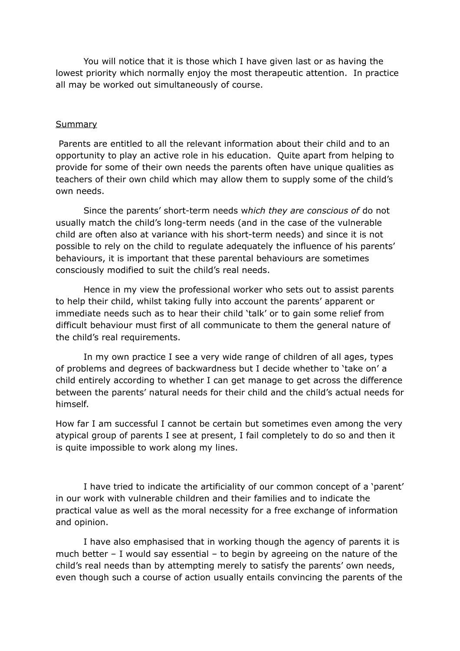You will notice that it is those which I have given last or as having the lowest priority which normally enjoy the most therapeutic attention. In practice all may be worked out simultaneously of course.

#### **Summary**

Parents are entitled to all the relevant information about their child and to an opportunity to play an active role in his education. Quite apart from helping to provide for some of their own needs the parents often have unique qualities as teachers of their own child which may allow them to supply some of the child's own needs.

Since the parents' short-term needs w*hich they are conscious of* do not usually match the child's long-term needs (and in the case of the vulnerable child are often also at variance with his short-term needs) and since it is not possible to rely on the child to regulate adequately the influence of his parents' behaviours, it is important that these parental behaviours are sometimes consciously modified to suit the child's real needs.

Hence in my view the professional worker who sets out to assist parents to help their child, whilst taking fully into account the parents' apparent or immediate needs such as to hear their child 'talk' or to gain some relief from difficult behaviour must first of all communicate to them the general nature of the child's real requirements.

In my own practice I see a very wide range of children of all ages, types of problems and degrees of backwardness but I decide whether to 'take on' a child entirely according to whether I can get manage to get across the difference between the parents' natural needs for their child and the child's actual needs for himself.

How far I am successful I cannot be certain but sometimes even among the very atypical group of parents I see at present, I fail completely to do so and then it is quite impossible to work along my lines.

I have tried to indicate the artificiality of our common concept of a 'parent' in our work with vulnerable children and their families and to indicate the practical value as well as the moral necessity for a free exchange of information and opinion.

I have also emphasised that in working though the agency of parents it is much better – I would say essential – to begin by agreeing on the nature of the child's real needs than by attempting merely to satisfy the parents' own needs, even though such a course of action usually entails convincing the parents of the